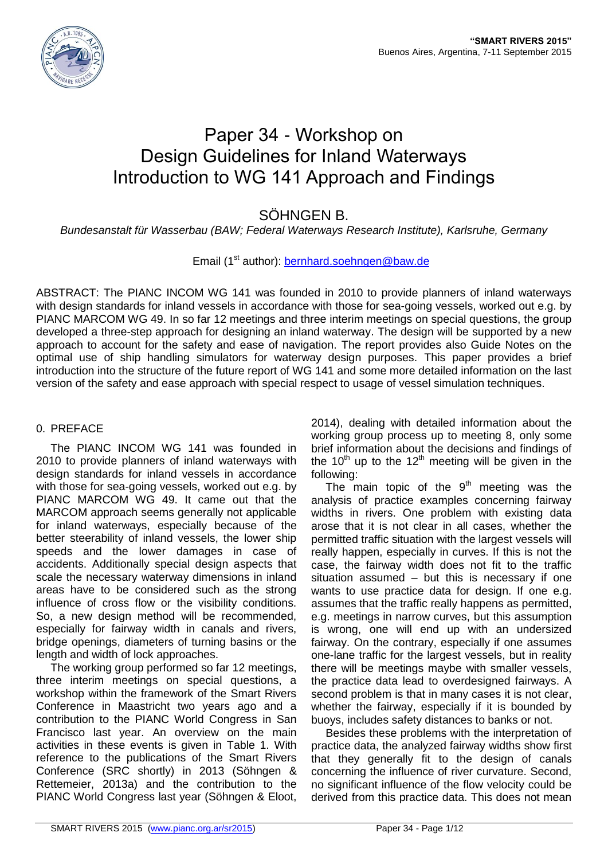

# Paper 34 - Workshop on Design Guidelines for Inland Waterways Introduction to WG 141 Approach and Findings

# SÖHNGEN B.

*Bundesanstalt für Wasserbau (BAW; Federal Waterways Research Institute), Karlsruhe, Germany*

# Email (1<sup>st</sup> author): [bernhard.soehngen@baw.de](mailto:bernhard.soehngen@baw.de)

ABSTRACT: The PIANC INCOM WG 141 was founded in 2010 to provide planners of inland waterways with design standards for inland vessels in accordance with those for sea-going vessels, worked out e.g. by PIANC MARCOM WG 49. In so far 12 meetings and three interim meetings on special questions, the group developed a three-step approach for designing an inland waterway. The design will be supported by a new approach to account for the safety and ease of navigation. The report provides also Guide Notes on the optimal use of ship handling simulators for waterway design purposes. This paper provides a brief introduction into the structure of the future report of WG 141 and some more detailed information on the last version of the safety and ease approach with special respect to usage of vessel simulation techniques.

# 0. PREFACE

The PIANC INCOM WG 141 was founded in 2010 to provide planners of inland waterways with design standards for inland vessels in accordance with those for sea-going vessels, worked out e.g. by PIANC MARCOM WG 49. It came out that the MARCOM approach seems generally not applicable for inland waterways, especially because of the better steerability of inland vessels, the lower ship speeds and the lower damages in case of accidents. Additionally special design aspects that scale the necessary waterway dimensions in inland areas have to be considered such as the strong influence of cross flow or the visibility conditions. So, a new design method will be recommended, especially for fairway width in canals and rivers, bridge openings, diameters of turning basins or the length and width of lock approaches.

The working group performed so far 12 meetings, three interim meetings on special questions, a workshop within the framework of the Smart Rivers Conference in Maastricht two years ago and a contribution to the PIANC World Congress in San Francisco last year. An overview on the main activities in these events is given in Table 1. With reference to the publications of the Smart Rivers Conference (SRC shortly) in 2013 (Söhngen & Rettemeier, 2013a) and the contribution to the PIANC World Congress last year (Söhngen & Eloot,

2014), dealing with detailed information about the working group process up to meeting 8, only some brief information about the decisions and findings of the  $10<sup>th</sup>$  up to the  $12<sup>th</sup>$  meeting will be given in the following:

The main topic of the  $9<sup>th</sup>$  meeting was the analysis of practice examples concerning fairway widths in rivers. One problem with existing data arose that it is not clear in all cases, whether the permitted traffic situation with the largest vessels will really happen, especially in curves. If this is not the case, the fairway width does not fit to the traffic situation assumed – but this is necessary if one wants to use practice data for design. If one e.g. assumes that the traffic really happens as permitted, e.g. meetings in narrow curves, but this assumption is wrong, one will end up with an undersized fairway. On the contrary, especially if one assumes one-lane traffic for the largest vessels, but in reality there will be meetings maybe with smaller vessels, the practice data lead to overdesigned fairways. A second problem is that in many cases it is not clear, whether the fairway, especially if it is bounded by buoys, includes safety distances to banks or not.

Besides these problems with the interpretation of practice data, the analyzed fairway widths show first that they generally fit to the design of canals concerning the influence of river curvature. Second, no significant influence of the flow velocity could be derived from this practice data. This does not mean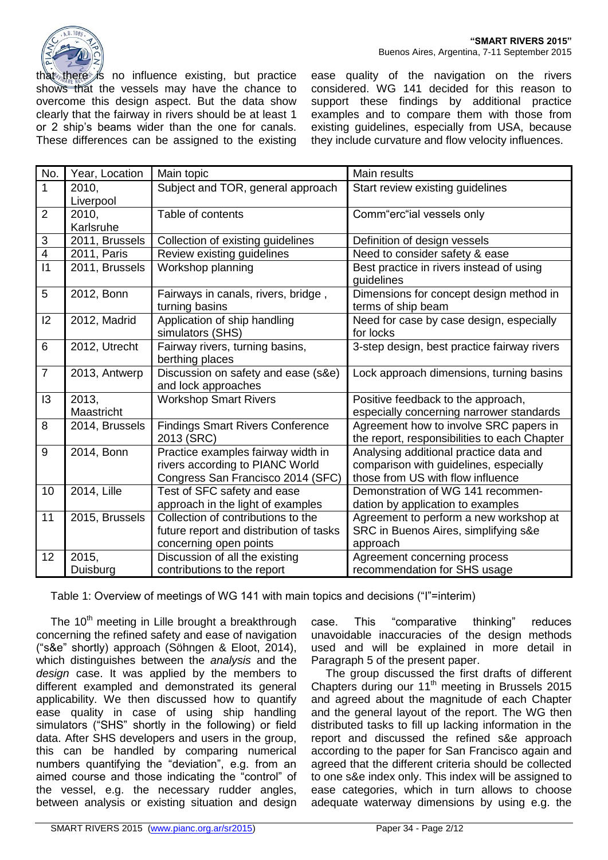

that there is no influence existing, but practice shows that the vessels may have the chance to overcome this design aspect. But the data show clearly that the fairway in rivers should be at least 1 or 2 ship's beams wider than the one for canals. These differences can be assigned to the existing

ease quality of the navigation on the rivers considered. WG 141 decided for this reason to support these findings by additional practice examples and to compare them with those from existing guidelines, especially from USA, because they include curvature and flow velocity influences.

| No.             | Year, Location | Main topic                                                 | Main results                                                                           |
|-----------------|----------------|------------------------------------------------------------|----------------------------------------------------------------------------------------|
| 1               | 2010,          | Subject and TOR, general approach                          | Start review existing guidelines                                                       |
|                 | Liverpool      |                                                            |                                                                                        |
| $\overline{2}$  | 2010,          | Table of contents                                          | Comm"erc"ial vessels only                                                              |
|                 | Karlsruhe      |                                                            |                                                                                        |
| $\sqrt{3}$      | 2011, Brussels | Collection of existing guidelines                          | Definition of design vessels                                                           |
| $\overline{4}$  | 2011, Paris    | Review existing guidelines                                 | Need to consider safety & ease                                                         |
| $\overline{11}$ | 2011, Brussels | Workshop planning                                          | Best practice in rivers instead of using<br>guidelines                                 |
| 5               | 2012, Bonn     | Fairways in canals, rivers, bridge,<br>turning basins      | Dimensions for concept design method in<br>terms of ship beam                          |
| 12              | 2012, Madrid   | Application of ship handling<br>simulators (SHS)           | Need for case by case design, especially<br>for locks                                  |
| 6               | 2012, Utrecht  | Fairway rivers, turning basins,<br>berthing places         | 3-step design, best practice fairway rivers                                            |
| $\overline{7}$  | 2013, Antwerp  | Discussion on safety and ease (s&e)<br>and lock approaches | Lock approach dimensions, turning basins                                               |
| 13              | 2013,          | <b>Workshop Smart Rivers</b>                               | Positive feedback to the approach,                                                     |
|                 | Maastricht     |                                                            | especially concerning narrower standards                                               |
| 8               | 2014, Brussels | <b>Findings Smart Rivers Conference</b><br>2013 (SRC)      | Agreement how to involve SRC papers in<br>the report, responsibilities to each Chapter |
| 9               | 2014, Bonn     | Practice examples fairway width in                         | Analysing additional practice data and                                                 |
|                 |                | rivers according to PIANC World                            | comparison with guidelines, especially                                                 |
|                 |                | Congress San Francisco 2014 (SFC)                          | those from US with flow influence                                                      |
| 10              | 2014, Lille    | Test of SFC safety and ease                                | Demonstration of WG 141 recommen-                                                      |
|                 |                | approach in the light of examples                          | dation by application to examples                                                      |
| 11              | 2015, Brussels | Collection of contributions to the                         | Agreement to perform a new workshop at                                                 |
|                 |                | future report and distribution of tasks                    | SRC in Buenos Aires, simplifying s&e                                                   |
|                 |                | concerning open points                                     | approach                                                                               |
| 12              | 2015,          | Discussion of all the existing                             | Agreement concerning process                                                           |
|                 | Duisburg       | contributions to the report                                | recommendation for SHS usage                                                           |

Table 1: Overview of meetings of WG 141 with main topics and decisions ("I"=interim)

The 10<sup>th</sup> meeting in Lille brought a breakthrough concerning the refined safety and ease of navigation ("s&e" shortly) approach (Söhngen & Eloot, 2014), which distinguishes between the *analysis* and the *design* case. It was applied by the members to different exampled and demonstrated its general applicability. We then discussed how to quantify ease quality in case of using ship handling simulators ("SHS" shortly in the following) or field data. After SHS developers and users in the group, this can be handled by comparing numerical numbers quantifying the "deviation", e.g. from an aimed course and those indicating the "control" of the vessel, e.g. the necessary rudder angles, between analysis or existing situation and design

case. This "comparative thinking" reduces unavoidable inaccuracies of the design methods used and will be explained in more detail in Paragraph 5 of the present paper.

The group discussed the first drafts of different Chapters during our  $11<sup>th</sup>$  meeting in Brussels 2015 and agreed about the magnitude of each Chapter and the general layout of the report. The WG then distributed tasks to fill up lacking information in the report and discussed the refined s&e approach according to the paper for San Francisco again and agreed that the different criteria should be collected to one s&e index only. This index will be assigned to ease categories, which in turn allows to choose adequate waterway dimensions by using e.g. the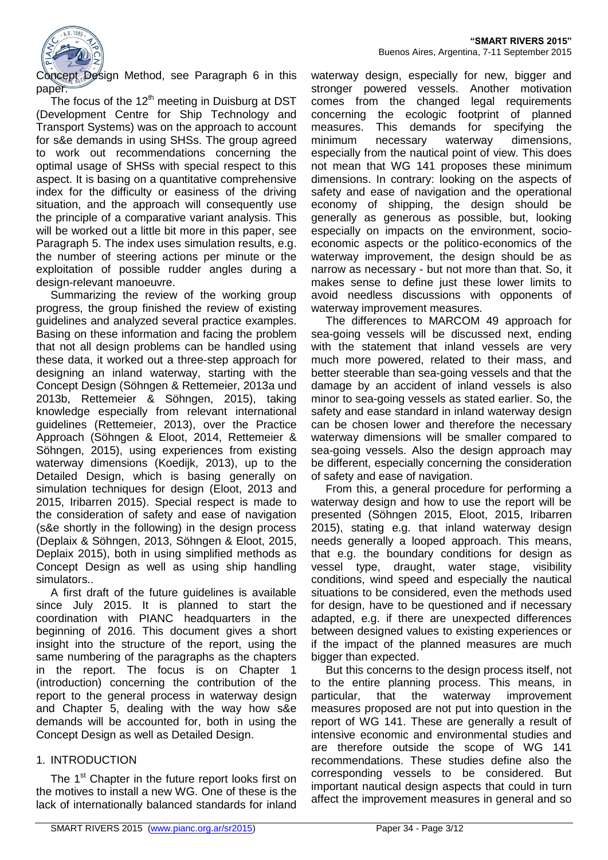

Concept Design Method, see Paragraph 6 in this paper.

The focus of the  $12<sup>th</sup>$  meeting in Duisburg at DST (Development Centre for Ship Technology and Transport Systems) was on the approach to account for s&e demands in using SHSs. The group agreed to work out recommendations concerning the optimal usage of SHSs with special respect to this aspect. It is basing on a quantitative comprehensive index for the difficulty or easiness of the driving situation, and the approach will consequently use the principle of a comparative variant analysis. This will be worked out a little bit more in this paper, see Paragraph 5. The index uses simulation results, e.g. the number of steering actions per minute or the exploitation of possible rudder angles during a design-relevant manoeuvre.

Summarizing the review of the working group progress, the group finished the review of existing guidelines and analyzed several practice examples. Basing on these information and facing the problem that not all design problems can be handled using these data, it worked out a three-step approach for designing an inland waterway, starting with the Concept Design (Söhngen & Rettemeier, 2013a und 2013b, Rettemeier & Söhngen, 2015), taking knowledge especially from relevant international guidelines (Rettemeier, 2013), over the Practice Approach (Söhngen & Eloot, 2014, Rettemeier & Söhngen, 2015), using experiences from existing waterway dimensions (Koedijk, 2013), up to the Detailed Design, which is basing generally on simulation techniques for design (Eloot, 2013 and 2015, Iribarren 2015). Special respect is made to the consideration of safety and ease of navigation (s&e shortly in the following) in the design process (Deplaix & Söhngen, 2013, Söhngen & Eloot, 2015, Deplaix 2015), both in using simplified methods as Concept Design as well as using ship handling simulators..

A first draft of the future guidelines is available since July 2015. It is planned to start the coordination with PIANC headquarters in the beginning of 2016. This document gives a short insight into the structure of the report, using the same numbering of the paragraphs as the chapters in the report. The focus is on Chapter 1 (introduction) concerning the contribution of the report to the general process in waterway design and Chapter 5, dealing with the way how s&e demands will be accounted for, both in using the Concept Design as well as Detailed Design.

## 1. INTRODUCTION

The 1<sup>st</sup> Chapter in the future report looks first on the motives to install a new WG. One of these is the lack of internationally balanced standards for inland

waterway design, especially for new, bigger and stronger powered vessels. Another motivation comes from the changed legal requirements concerning the ecologic footprint of planned measures. This demands for specifying the minimum necessary waterway dimensions, especially from the nautical point of view. This does not mean that WG 141 proposes these minimum dimensions. In contrary: looking on the aspects of safety and ease of navigation and the operational economy of shipping, the design should be generally as generous as possible, but, looking especially on impacts on the environment, socioeconomic aspects or the politico-economics of the waterway improvement, the design should be as narrow as necessary - but not more than that. So, it makes sense to define just these lower limits to avoid needless discussions with opponents of waterway improvement measures.

The differences to MARCOM 49 approach for sea-going vessels will be discussed next, ending with the statement that inland vessels are very much more powered, related to their mass, and better steerable than sea-going vessels and that the damage by an accident of inland vessels is also minor to sea-going vessels as stated earlier. So, the safety and ease standard in inland waterway design can be chosen lower and therefore the necessary waterway dimensions will be smaller compared to sea-going vessels. Also the design approach may be different, especially concerning the consideration of safety and ease of navigation.

From this, a general procedure for performing a waterway design and how to use the report will be presented (Söhngen 2015, Eloot, 2015, Iribarren 2015), stating e.g. that inland waterway design needs generally a looped approach. This means, that e.g. the boundary conditions for design as vessel type, draught, water stage, visibility conditions, wind speed and especially the nautical situations to be considered, even the methods used for design, have to be questioned and if necessary adapted, e.g. if there are unexpected differences between designed values to existing experiences or if the impact of the planned measures are much bigger than expected.

But this concerns to the design process itself, not to the entire planning process. This means, in particular, that the waterway improvement measures proposed are not put into question in the report of WG 141. These are generally a result of intensive economic and environmental studies and are therefore outside the scope of WG 141 recommendations. These studies define also the corresponding vessels to be considered. But important nautical design aspects that could in turn affect the improvement measures in general and so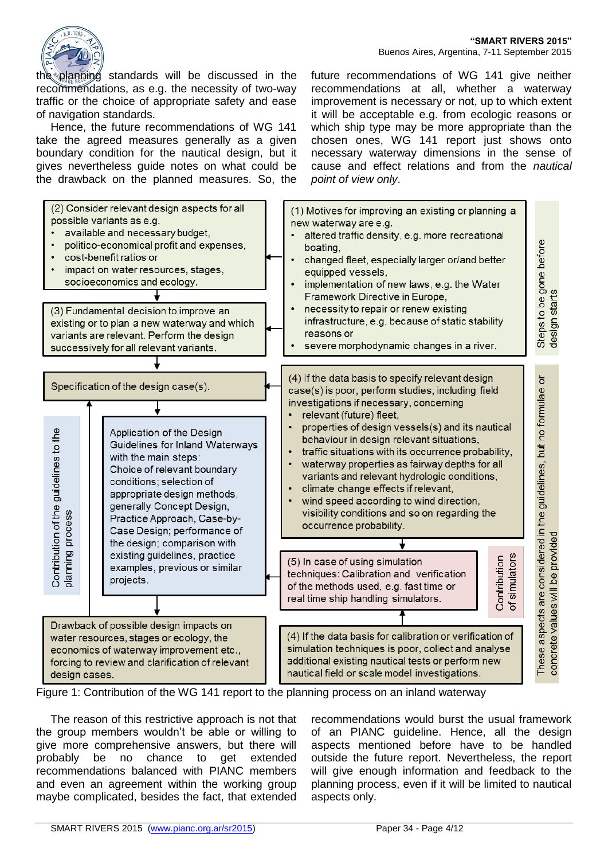future recommendations of WG 141 give neither recommendations at all, whether a waterway improvement is necessary or not, up to which extent it will be acceptable e.g. from ecologic reasons or which ship type may be more appropriate than the chosen ones, WG 141 report just shows onto necessary waterway dimensions in the sense of cause and effect relations and from the *nautical* 



the planning standards will be discussed in the recommendations, as e.g. the necessity of two-way traffic or the choice of appropriate safety and ease of navigation standards.

Hence, the future recommendations of WG 141 take the agreed measures generally as a given boundary condition for the nautical design, but it gives nevertheless guide notes on what could be the drawback on the planned measures. So, the

(2) Consider relevant design aspects for all (1) Motives for improving an existing or planning a possible variants as e.g. new waterway are e.g. available and necessary budget, altered traffic density, e.g. more recreational Steps to be gone before<br>design starts politico-economical profit and expenses. boating. cost-benefit ratios or changed fleet, especially larger or/and better impact on water resources, stages. equipped vessels, socioeconomics and ecology. implementation of new laws, e.g. the Water Framework Directive in Europe, necessity to repair or renew existing (3) Fundamental decision to improve an infrastructure, e.g. because of static stability existing or to plan a new waterway and which reasons or variants are relevant. Perform the design severe morphodynamic changes in a river. successively for all relevant variants. (4) If the data basis to specify relevant design These aspects are considered in the guidelines, but no formulae or Specification of the design case(s). case(s) is poor, perform studies, including field investigations if necessary, concerning relevant (future) fleet, properties of design vessels(s) and its nautical Contribution of the guidelines to the Application of the Design behaviour in design relevant situations, Guidelines for Inland Waterways traffic situations with its occurrence probability, with the main steps:  $\bullet$ waterway properties as fairway depths for all Choice of relevant boundary variants and relevant hydrologic conditions. conditions: selection of climate change effects if relevant,  $\ddot{\phantom{0}}$ appropriate design methods, wind speed according to wind direction, generally Concept Design, visibility conditions and so on regarding the planning process Practice Approach, Case-byoccurrence probability. Case Design; performance of concrete values will be provided the design; comparison with existing guidelines, practice of simulators Contribution (5) In case of using simulation examples, previous or similar techniques: Calibration and verification projects. of the methods used, e.g. fast time or real time ship handling simulators. Drawback of possible design impacts on (4) If the data basis for calibration or verification of water resources, stages or ecology, the simulation techniques is poor, collect and analyse economics of waterway improvement etc., additional existing nautical tests or perform new forcing to review and clarification of relevant nautical field or scale model investigations. design cases.

*point of view only*.

Figure 1: Contribution of the WG 141 report to the planning process on an inland waterway

The reason of this restrictive approach is not that the group members wouldn't be able or willing to give more comprehensive answers, but there will probably be no chance to get extended recommendations balanced with PIANC members and even an agreement within the working group maybe complicated, besides the fact, that extended

recommendations would burst the usual framework of an PIANC guideline. Hence, all the design aspects mentioned before have to be handled outside the future report. Nevertheless, the report will give enough information and feedback to the planning process, even if it will be limited to nautical aspects only.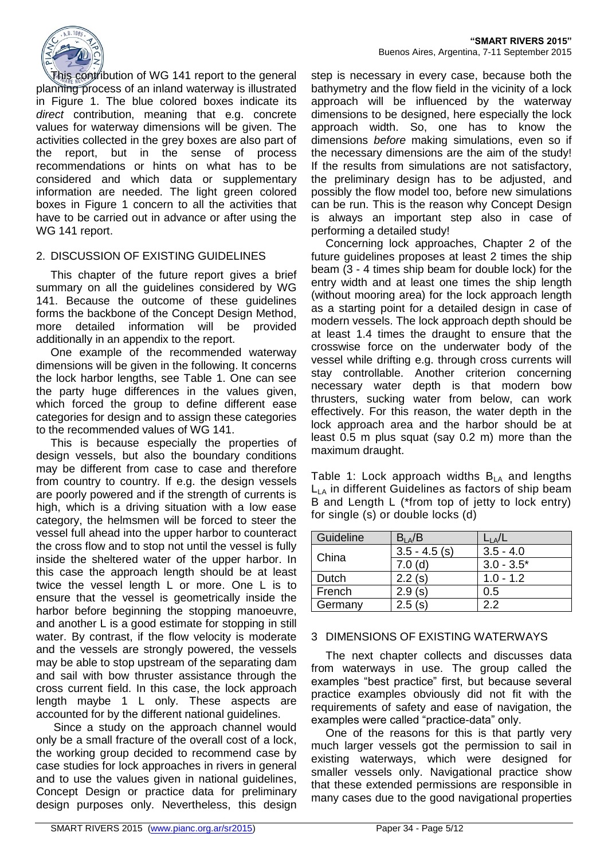

This contribution of WG 141 report to the general planning process of an inland waterway is illustrated in Figure 1. The blue colored boxes indicate its *direct* contribution, meaning that e.g. concrete values for waterway dimensions will be given. The activities collected in the grey boxes are also part of the report, but in the sense of process recommendations or hints on what has to be considered and which data or supplementary information are needed. The light green colored boxes in Figure 1 concern to all the activities that have to be carried out in advance or after using the WG 141 report.

#### 2. DISCUSSION OF EXISTING GUIDELINES

This chapter of the future report gives a brief summary on all the guidelines considered by WG 141. Because the outcome of these guidelines forms the backbone of the Concept Design Method, more detailed information will be provided additionally in an appendix to the report.

One example of the recommended waterway dimensions will be given in the following. It concerns the lock harbor lengths, see Table 1. One can see the party huge differences in the values given, which forced the group to define different ease categories for design and to assign these categories to the recommended values of WG 141.

This is because especially the properties of design vessels, but also the boundary conditions may be different from case to case and therefore from country to country. If e.g. the design vessels are poorly powered and if the strength of currents is high, which is a driving situation with a low ease category, the helmsmen will be forced to steer the vessel full ahead into the upper harbor to counteract the cross flow and to stop not until the vessel is fully inside the sheltered water of the upper harbor. In this case the approach length should be at least twice the vessel length L or more. One L is to ensure that the vessel is geometrically inside the harbor before beginning the stopping manoeuvre, and another L is a good estimate for stopping in still water. By contrast, if the flow velocity is moderate and the vessels are strongly powered, the vessels may be able to stop upstream of the separating dam and sail with bow thruster assistance through the cross current field. In this case, the lock approach length maybe 1 L only. These aspects are accounted for by the different national guidelines.

Since a study on the approach channel would only be a small fracture of the overall cost of a lock, the working group decided to recommend case by case studies for lock approaches in rivers in general and to use the values given in national guidelines, Concept Design or practice data for preliminary design purposes only. Nevertheless, this design

step is necessary in every case, because both the bathymetry and the flow field in the vicinity of a lock approach will be influenced by the waterway dimensions to be designed, here especially the lock approach width. So, one has to know the dimensions *before* making simulations, even so if the necessary dimensions are the aim of the study! If the results from simulations are not satisfactory, the preliminary design has to be adjusted, and possibly the flow model too, before new simulations can be run. This is the reason why Concept Design is always an important step also in case of performing a detailed study!

Concerning lock approaches, Chapter 2 of the future guidelines proposes at least 2 times the ship beam (3 - 4 times ship beam for double lock) for the entry width and at least one times the ship length (without mooring area) for the lock approach length as a starting point for a detailed design in case of modern vessels. The lock approach depth should be at least 1.4 times the draught to ensure that the crosswise force on the underwater body of the vessel while drifting e.g. through cross currents will stay controllable. Another criterion concerning necessary water depth is that modern bow thrusters, sucking water from below, can work effectively. For this reason, the water depth in the lock approach area and the harbor should be at least 0.5 m plus squat (say 0.2 m) more than the maximum draught.

Table 1: Lock approach widths  $B<sub>LA</sub>$  and lengths  $L_{LA}$  in different Guidelines as factors of ship beam B and Length L (\*from top of jetty to lock entry) for single (s) or double locks (d)

| Guideline | $B_{LA}/B$      |              |
|-----------|-----------------|--------------|
| China     | $3.5 - 4.5$ (s) | $3.5 - 4.0$  |
|           | 7.0(d)          | $3.0 - 3.5*$ |
| Dutch     | 2.2(s)          | $1.0 - 1.2$  |
| French    | 2.9(s)          | 0.5          |
| Germany   | 2.5(s)          | つつ           |

#### 3 DIMENSIONS OF EXISTING WATERWAYS

The next chapter collects and discusses data from waterways in use. The group called the examples "best practice" first, but because several practice examples obviously did not fit with the requirements of safety and ease of navigation, the examples were called "practice-data" only.

One of the reasons for this is that partly very much larger vessels got the permission to sail in existing waterways, which were designed for smaller vessels only. Navigational practice show that these extended permissions are responsible in many cases due to the good navigational properties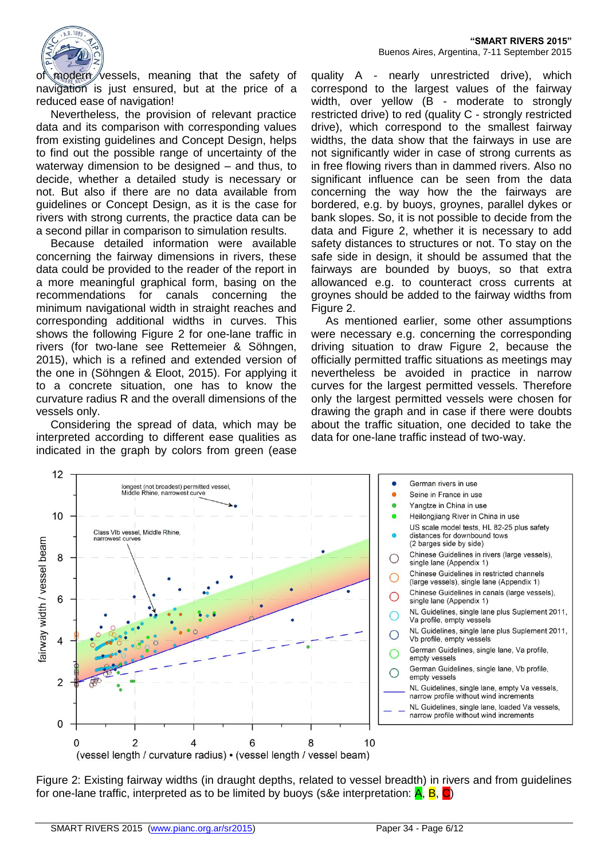

of modern vessels, meaning that the safety of navigation is just ensured, but at the price of a reduced ease of navigation!

Nevertheless, the provision of relevant practice data and its comparison with corresponding values from existing guidelines and Concept Design, helps to find out the possible range of uncertainty of the waterway dimension to be designed – and thus, to decide, whether a detailed study is necessary or not. But also if there are no data available from guidelines or Concept Design, as it is the case for rivers with strong currents, the practice data can be a second pillar in comparison to simulation results.

Because detailed information were available concerning the fairway dimensions in rivers, these data could be provided to the reader of the report in a more meaningful graphical form, basing on the recommendations for canals concerning the minimum navigational width in straight reaches and corresponding additional widths in curves. This shows the following Figure 2 for one-lane traffic in rivers (for two-lane see Rettemeier & Söhngen, 2015), which is a refined and extended version of the one in (Söhngen & Eloot, 2015). For applying it to a concrete situation, one has to know the curvature radius R and the overall dimensions of the vessels only.

Considering the spread of data, which may be interpreted according to different ease qualities as indicated in the graph by colors from green (ease

quality A - nearly unrestricted drive), which correspond to the largest values of the fairway width, over yellow (B - moderate to strongly restricted drive) to red (quality C - strongly restricted drive), which correspond to the smallest fairway widths, the data show that the fairways in use are not significantly wider in case of strong currents as in free flowing rivers than in dammed rivers. Also no significant influence can be seen from the data concerning the way how the the fairways are bordered, e.g. by buoys, groynes, parallel dykes or bank slopes. So, it is not possible to decide from the data and Figure 2, whether it is necessary to add safety distances to structures or not. To stay on the safe side in design, it should be assumed that the fairways are bounded by buoys, so that extra allowanced e.g. to counteract cross currents at groynes should be added to the fairway widths from Figure 2.

As mentioned earlier, some other assumptions were necessary e.g. concerning the corresponding driving situation to draw Figure 2, because the officially permitted traffic situations as meetings may nevertheless be avoided in practice in narrow curves for the largest permitted vessels. Therefore only the largest permitted vessels were chosen for drawing the graph and in case if there were doubts about the traffic situation, one decided to take the data for one-lane traffic instead of two-way.



Figure 2: Existing fairway widths (in draught depths, related to vessel breadth) in rivers and from guidelines for one-lane traffic, interpreted as to be limited by buoys (s&e interpretation:  $\overline{A}$ ,  $\overline{B}$ ,  $\overline{C}$ )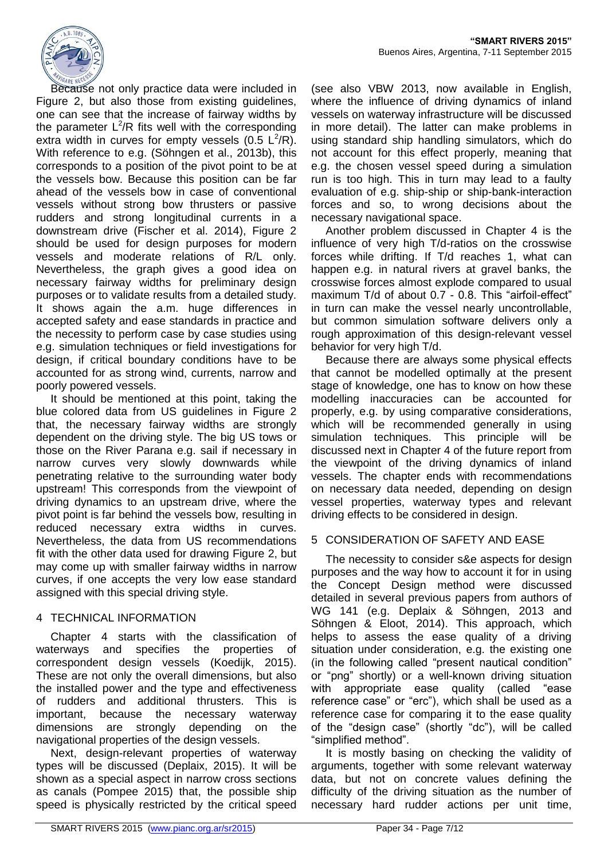

Because not only practice data were included in Figure 2, but also those from existing guidelines, one can see that the increase of fairway widths by the parameter  $L^2/R$  fits well with the corresponding extra width in curves for empty vessels (0.5  $\mathsf{L}^2/\mathsf{R}$ ). With reference to e.g. (Söhngen et al., 2013b), this corresponds to a position of the pivot point to be at the vessels bow. Because this position can be far ahead of the vessels bow in case of conventional vessels without strong bow thrusters or passive rudders and strong longitudinal currents in a downstream drive (Fischer et al. 2014), Figure 2 should be used for design purposes for modern vessels and moderate relations of R/L only. Nevertheless, the graph gives a good idea on necessary fairway widths for preliminary design purposes or to validate results from a detailed study. It shows again the a.m. huge differences in accepted safety and ease standards in practice and the necessity to perform case by case studies using e.g. simulation techniques or field investigations for design, if critical boundary conditions have to be accounted for as strong wind, currents, narrow and poorly powered vessels.

It should be mentioned at this point, taking the blue colored data from US guidelines in Figure 2 that, the necessary fairway widths are strongly dependent on the driving style. The big US tows or those on the River Parana e.g. sail if necessary in narrow curves very slowly downwards while penetrating relative to the surrounding water body upstream! This corresponds from the viewpoint of driving dynamics to an upstream drive, where the pivot point is far behind the vessels bow, resulting in reduced necessary extra widths in curves. Nevertheless, the data from US recommendations fit with the other data used for drawing Figure 2, but may come up with smaller fairway widths in narrow curves, if one accepts the very low ease standard assigned with this special driving style.

## 4 TECHNICAL INFORMATION

Chapter 4 starts with the classification of waterways and specifies the properties of correspondent design vessels (Koedijk, 2015). These are not only the overall dimensions, but also the installed power and the type and effectiveness of rudders and additional thrusters. This is important, because the necessary waterway dimensions are strongly depending on the navigational properties of the design vessels.

Next, design-relevant properties of waterway types will be discussed (Deplaix, 2015). It will be shown as a special aspect in narrow cross sections as canals (Pompee 2015) that, the possible ship speed is physically restricted by the critical speed

(see also VBW 2013, now available in English, where the influence of driving dynamics of inland vessels on waterway infrastructure will be discussed in more detail). The latter can make problems in using standard ship handling simulators, which do not account for this effect properly, meaning that e.g. the chosen vessel speed during a simulation run is too high. This in turn may lead to a faulty evaluation of e.g. ship-ship or ship-bank-interaction forces and so, to wrong decisions about the necessary navigational space.

Another problem discussed in Chapter 4 is the influence of very high T/d-ratios on the crosswise forces while drifting. If T/d reaches 1, what can happen e.g. in natural rivers at gravel banks, the crosswise forces almost explode compared to usual maximum T/d of about 0.7 - 0.8. This "airfoil-effect" in turn can make the vessel nearly uncontrollable, but common simulation software delivers only a rough approximation of this design-relevant vessel behavior for very high T/d.

Because there are always some physical effects that cannot be modelled optimally at the present stage of knowledge, one has to know on how these modelling inaccuracies can be accounted for properly, e.g. by using comparative considerations, which will be recommended generally in using simulation techniques. This principle will be discussed next in Chapter 4 of the future report from the viewpoint of the driving dynamics of inland vessels. The chapter ends with recommendations on necessary data needed, depending on design vessel properties, waterway types and relevant driving effects to be considered in design.

# 5 CONSIDERATION OF SAFETY AND EASE

The necessity to consider s&e aspects for design purposes and the way how to account it for in using the Concept Design method were discussed detailed in several previous papers from authors of WG 141 (e.g. Deplaix & Söhngen, 2013 and Söhngen & Eloot, 2014). This approach, which helps to assess the ease quality of a driving situation under consideration, e.g. the existing one (in the following called "present nautical condition" or "png" shortly) or a well-known driving situation with appropriate ease quality (called "ease reference case" or "erc"), which shall be used as a reference case for comparing it to the ease quality of the "design case" (shortly "dc"), will be called "simplified method".

It is mostly basing on checking the validity of arguments, together with some relevant waterway data, but not on concrete values defining the difficulty of the driving situation as the number of necessary hard rudder actions per unit time,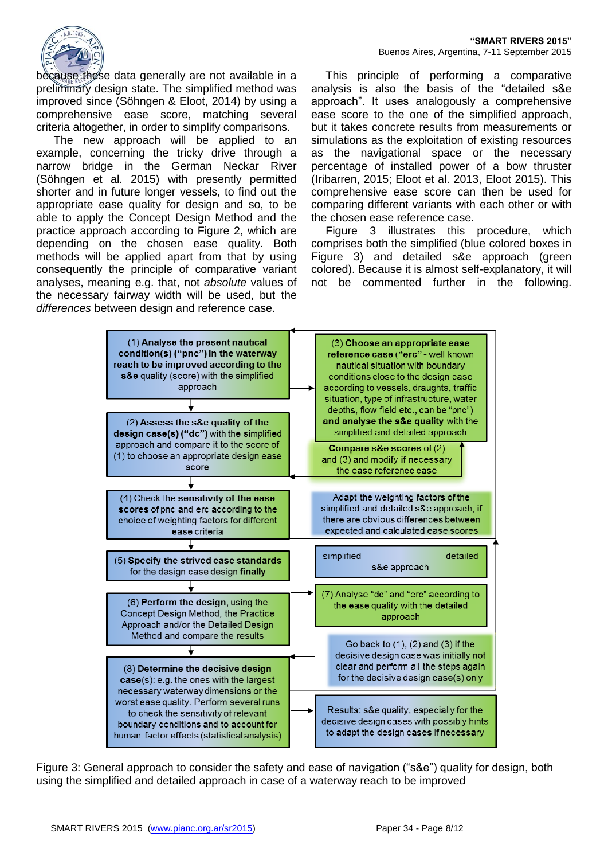

because these data generally are not available in a preliminary design state. The simplified method was improved since (Söhngen & Eloot, 2014) by using a comprehensive ease score, matching several criteria altogether, in order to simplify comparisons.

The new approach will be applied to an example, concerning the tricky drive through a narrow bridge in the German Neckar River (Söhngen et al. 2015) with presently permitted shorter and in future longer vessels, to find out the appropriate ease quality for design and so, to be able to apply the Concept Design Method and the practice approach according to Figure 2, which are depending on the chosen ease quality. Both methods will be applied apart from that by using consequently the principle of comparative variant analyses, meaning e.g. that, not *absolute* values of the necessary fairway width will be used, but the *differences* between design and reference case.

This principle of performing a comparative analysis is also the basis of the "detailed s&e approach". It uses analogously a comprehensive ease score to the one of the simplified approach, but it takes concrete results from measurements or simulations as the exploitation of existing resources as the navigational space or the necessary percentage of installed power of a bow thruster (Iribarren, 2015; Eloot et al. 2013, Eloot 2015). This comprehensive ease score can then be used for comparing different variants with each other or with the chosen ease reference case.

Figure 3 illustrates this procedure, which comprises both the simplified (blue colored boxes in Figure 3) and detailed s&e approach (green colored). Because it is almost self-explanatory, it will not be commented further in the following.



Figure 3: General approach to consider the safety and ease of navigation ("s&e") quality for design, both using the simplified and detailed approach in case of a waterway reach to be improved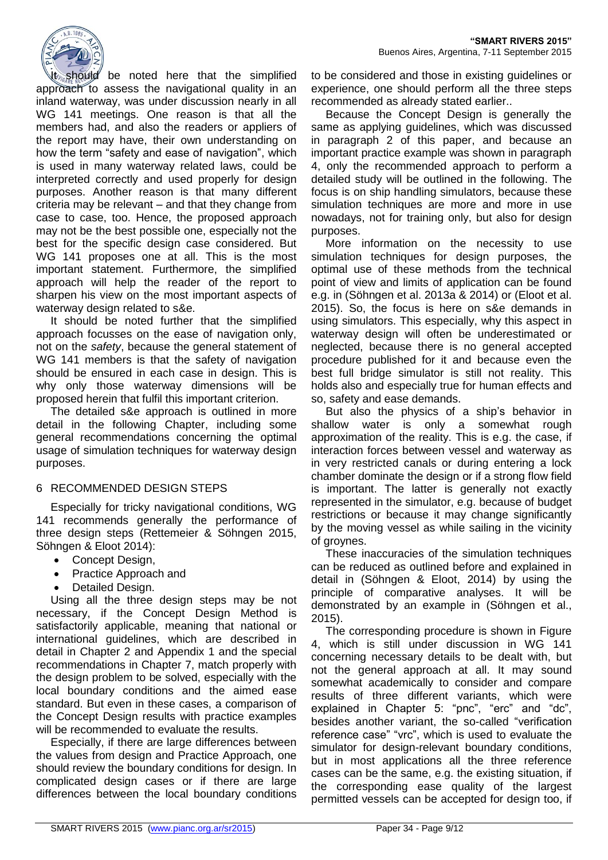

t should be noted here that the simplified approach to assess the navigational quality in an inland waterway, was under discussion nearly in all WG 141 meetings. One reason is that all the members had, and also the readers or appliers of the report may have, their own understanding on how the term "safety and ease of navigation", which is used in many waterway related laws, could be interpreted correctly and used properly for design purposes. Another reason is that many different criteria may be relevant – and that they change from case to case, too. Hence, the proposed approach may not be the best possible one, especially not the best for the specific design case considered. But WG 141 proposes one at all. This is the most important statement. Furthermore, the simplified approach will help the reader of the report to sharpen his view on the most important aspects of waterway design related to s&e.

It should be noted further that the simplified approach focusses on the ease of navigation only, not on the *safety*, because the general statement of WG 141 members is that the safety of navigation should be ensured in each case in design. This is why only those waterway dimensions will be proposed herein that fulfil this important criterion.

The detailed s&e approach is outlined in more detail in the following Chapter, including some general recommendations concerning the optimal usage of simulation techniques for waterway design purposes.

#### 6 RECOMMENDED DESIGN STEPS

Especially for tricky navigational conditions, WG 141 recommends generally the performance of three design steps (Rettemeier & Söhngen 2015, Söhngen & Eloot 2014):

- Concept Design,
- Practice Approach and
- Detailed Design.

Using all the three design steps may be not necessary, if the Concept Design Method is satisfactorily applicable, meaning that national or international guidelines, which are described in detail in Chapter 2 and Appendix 1 and the special recommendations in Chapter 7, match properly with the design problem to be solved, especially with the local boundary conditions and the aimed ease standard. But even in these cases, a comparison of the Concept Design results with practice examples will be recommended to evaluate the results.

Especially, if there are large differences between the values from design and Practice Approach, one should review the boundary conditions for design. In complicated design cases or if there are large differences between the local boundary conditions

to be considered and those in existing guidelines or experience, one should perform all the three steps recommended as already stated earlier..

Because the Concept Design is generally the same as applying guidelines, which was discussed in paragraph 2 of this paper, and because an important practice example was shown in paragraph 4, only the recommended approach to perform a detailed study will be outlined in the following. The focus is on ship handling simulators, because these simulation techniques are more and more in use nowadays, not for training only, but also for design purposes.

More information on the necessity to use simulation techniques for design purposes, the optimal use of these methods from the technical point of view and limits of application can be found e.g. in (Söhngen et al. 2013a & 2014) or (Eloot et al. 2015). So, the focus is here on s&e demands in using simulators. This especially, why this aspect in waterway design will often be underestimated or neglected, because there is no general accepted procedure published for it and because even the best full bridge simulator is still not reality. This holds also and especially true for human effects and so, safety and ease demands.

But also the physics of a ship's behavior in shallow water is only a somewhat rough approximation of the reality. This is e.g. the case, if interaction forces between vessel and waterway as in very restricted canals or during entering a lock chamber dominate the design or if a strong flow field is important. The latter is generally not exactly represented in the simulator, e.g. because of budget restrictions or because it may change significantly by the moving vessel as while sailing in the vicinity of groynes.

These inaccuracies of the simulation techniques can be reduced as outlined before and explained in detail in (Söhngen & Eloot, 2014) by using the principle of comparative analyses. It will be demonstrated by an example in (Söhngen et al., 2015).

The corresponding procedure is shown in Figure 4, which is still under discussion in WG 141 concerning necessary details to be dealt with, but not the general approach at all. It may sound somewhat academically to consider and compare results of three different variants, which were explained in Chapter 5: "pnc", "erc" and "dc", besides another variant, the so-called "verification reference case" "vrc", which is used to evaluate the simulator for design-relevant boundary conditions, but in most applications all the three reference cases can be the same, e.g. the existing situation, if the corresponding ease quality of the largest permitted vessels can be accepted for design too, if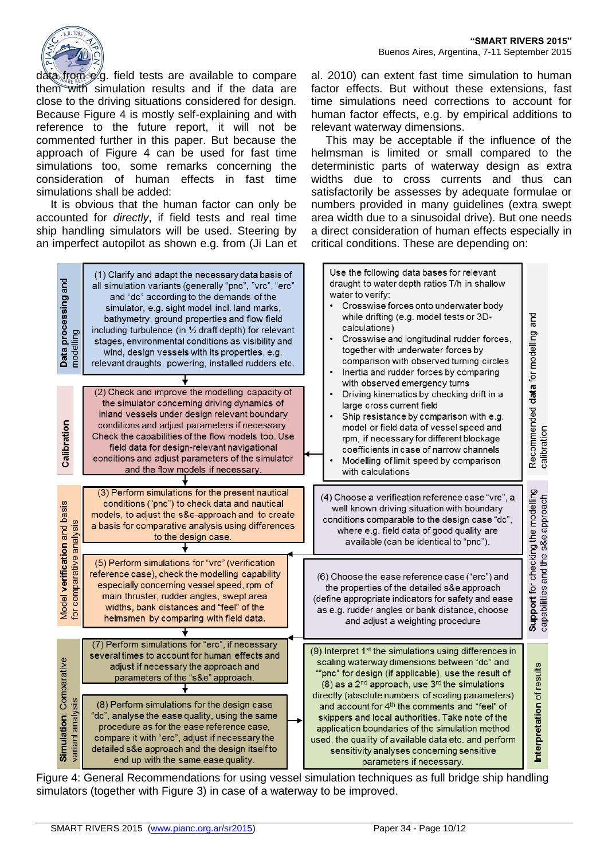

data from  $\phi$  g. field tests are available to compare them with simulation results and if the data are close to the driving situations considered for design. Because Figure 4 is mostly self-explaining and with reference to the future report, it will not be commented further in this paper. But because the approach of Figure 4 can be used for fast time simulations too, some remarks concerning the consideration of human effects in fast time simulations shall be added:

It is obvious that the human factor can only be accounted for *directly*, if field tests and real time ship handling simulators will be used. Steering by an imperfect autopilot as shown e.g. from (Ji Lan et al. 2010) can extent fast time simulation to human factor effects. But without these extensions, fast time simulations need corrections to account for human factor effects, e.g. by empirical additions to relevant waterway dimensions.

This may be acceptable if the influence of the helmsman is limited or small compared to the deterministic parts of waterway design as extra widths due to cross currents and thus can satisfactorily be assesses by adequate formulae or numbers provided in many guidelines (extra swept area width due to a sinusoidal drive). But one needs a direct consideration of human effects especially in critical conditions. These are depending on:

| Data processing and<br>modelling                         | (1) Clarify and adapt the necessary data basis of<br>all simulation variants (generally "pnc", "vrc", "erc"<br>and "dc" according to the demands of the<br>simulator, e.g. sight model incl. land marks,<br>bathymetry, ground properties and flow field<br>including turbulence (in $\frac{1}{2}$ draft depth) for relevant<br>stages, environmental conditions as visibility and<br>wind, design vessels with its properties, e.g.<br>relevant draughts, powering, installed rudders etc. | Use the following data bases for relevant<br>draught to water depth ratios T/h in shallow<br>water to verify:<br>Crosswise forces onto underwater body<br>while drifting (e.g. model tests or 3D-<br>calculations)<br>Crosswise and longitudinal rudder forces,<br>$\bullet$<br>together with underwater forces by<br>comparison with observed turning circles<br>Inertia and rudder forces by comparing<br>$\bullet$                                                                                                                    |                                                                         |
|----------------------------------------------------------|---------------------------------------------------------------------------------------------------------------------------------------------------------------------------------------------------------------------------------------------------------------------------------------------------------------------------------------------------------------------------------------------------------------------------------------------------------------------------------------------|------------------------------------------------------------------------------------------------------------------------------------------------------------------------------------------------------------------------------------------------------------------------------------------------------------------------------------------------------------------------------------------------------------------------------------------------------------------------------------------------------------------------------------------|-------------------------------------------------------------------------|
| Calibration                                              | (2) Check and improve the modelling capacity of<br>the simulator concerning driving dynamics of<br>inland vessels under design relevant boundary<br>conditions and adjust parameters if necessary.<br>Check the capabilities of the flow models too. Use<br>field data for design-relevant navigational<br>conditions and adjust parameters of the simulator<br>and the flow models if necessary.                                                                                           | with observed emergency turns<br>Driving kinematics by checking drift in a<br>$\bullet$<br>large cross current field<br>Ship resistance by comparison with e.g.<br>$\bullet$<br>model or field data of vessel speed and<br>rpm, if necessary for different blockage<br>coefficients in case of narrow channels<br>Modelling of limit speed by comparison<br>$\bullet$<br>with calculations                                                                                                                                               | Recommended data for modelling and<br>calibration                       |
|                                                          | (3) Perform simulations for the present nautical<br>conditions ("pnc") to check data and nautical<br>models, to adjust the s&e-approach and to create<br>a basis for comparative analysis using differences<br>to the design case.                                                                                                                                                                                                                                                          | (4) Choose a verification reference case "vrc", a<br>well known driving situation with boundary<br>conditions comparable to the design case "dc",<br>where e.g. field data of good quality are<br>available (can be identical to "pnc").                                                                                                                                                                                                                                                                                                 |                                                                         |
| Model verification and basis<br>for comparative analysis | (5) Perform simulations for "vrc" (verification<br>reference case), check the modelling capability<br>especially concerning vessel speed, rpm of<br>main thruster, rudder angles, swept area<br>widths, bank distances and "feel" of the<br>helmsmen by comparing with field data.                                                                                                                                                                                                          | (6) Choose the ease reference case ("erc") and<br>the properties of the detailed s&e approach<br>(define appropriate indicators for safety and ease<br>as e.g. rudder angles or bank distance, choose<br>and adjust a weighting procedure                                                                                                                                                                                                                                                                                                | Support for checking the modelling<br>capabilities and the s&e approach |
| Simulation: Comparative<br>variant analysis              | (7) Perform simulations for "erc", if necessary<br>several times to account for human effects and<br>adjust if necessary the approach and<br>parameters of the "s&e" approach.<br>(8) Perform simulations for the design case<br>"dc", analyse the ease quality, using the same<br>procedure as for the ease reference case,<br>compare it with "erc", adjust if necessary the                                                                                                              | (9) Interpret 1 <sup>st</sup> the simulations using differences in<br>scaling waterway dimensions between "dc" and<br>""pnc" for design (if applicable), use the result of<br>$(8)$ as a 2 <sup>nd</sup> approach, use 3 <sup>rd</sup> the simulations<br>directly (absolute numbers of scaling parameters)<br>and account for 4 <sup>th</sup> the comments and "feel" of<br>skippers and local authorities. Take note of the<br>application boundaries of the simulation method<br>used, the quality of available data etc. and perform | Interpretation of results                                               |
|                                                          | detailed s&e approach and the design itself to<br>end up with the same ease quality.                                                                                                                                                                                                                                                                                                                                                                                                        | sensitivity analyses concerning sensitive<br>parameters if necessary.                                                                                                                                                                                                                                                                                                                                                                                                                                                                    |                                                                         |

Figure 4: General Recommendations for using vessel simulation techniques as full bridge ship handling simulators (together with Figure 3) in case of a waterway to be improved.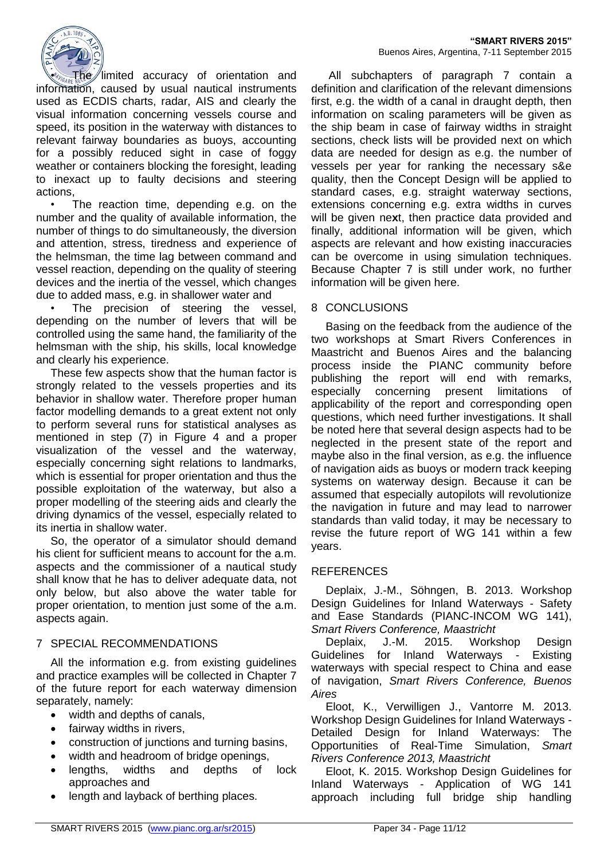

 $\Phi$ limited accuracy of orientation and information, caused by usual nautical instruments used as ECDIS charts, radar, AIS and clearly the visual information concerning vessels course and speed, its position in the waterway with distances to relevant fairway boundaries as buoys, accounting for a possibly reduced sight in case of foggy weather or containers blocking the foresight, leading to inexact up to faulty decisions and steering actions,

The reaction time, depending e.g. on the number and the quality of available information, the number of things to do simultaneously, the diversion and attention, stress, tiredness and experience of the helmsman, the time lag between command and vessel reaction, depending on the quality of steering devices and the inertia of the vessel, which changes due to added mass, e.g. in shallower water and

The precision of steering the vessel, depending on the number of levers that will be controlled using the same hand, the familiarity of the helmsman with the ship, his skills, local knowledge and clearly his experience.

These few aspects show that the human factor is strongly related to the vessels properties and its behavior in shallow water. Therefore proper human factor modelling demands to a great extent not only to perform several runs for statistical analyses as mentioned in step (7) in Figure 4 and a proper visualization of the vessel and the waterway, especially concerning sight relations to landmarks, which is essential for proper orientation and thus the possible exploitation of the waterway, but also a proper modelling of the steering aids and clearly the driving dynamics of the vessel, especially related to its inertia in shallow water.

So, the operator of a simulator should demand his client for sufficient means to account for the a.m. aspects and the commissioner of a nautical study shall know that he has to deliver adequate data, not only below, but also above the water table for proper orientation, to mention just some of the a.m. aspects again.

## 7 SPECIAL RECOMMENDATIONS

All the information e.g. from existing guidelines and practice examples will be collected in Chapter 7 of the future report for each waterway dimension separately, namely:

- width and depths of canals,
- fairway widths in rivers,
- construction of junctions and turning basins,
- width and headroom of bridge openings.
- lengths, widths and depths of lock approaches and
- length and layback of berthing places.

All subchapters of paragraph 7 contain a definition and clarification of the relevant dimensions first, e.g. the width of a canal in draught depth, then information on scaling parameters will be given as the ship beam in case of fairway widths in straight sections, check lists will be provided next on which data are needed for design as e.g. the number of vessels per year for ranking the necessary s&e quality, then the Concept Design will be applied to standard cases, e.g. straight waterway sections, extensions concerning e.g. extra widths in curves will be given ne**x**t, then practice data provided and finally, additional information will be given, which aspects are relevant and how existing inaccuracies can be overcome in using simulation techniques. Because Chapter 7 is still under work, no further information will be given here.

#### 8 CONCLUSIONS

Basing on the feedback from the audience of the two workshops at Smart Rivers Conferences in Maastricht and Buenos Aires and the balancing process inside the PIANC community before publishing the report will end with remarks, especially concerning present limitations of applicability of the report and corresponding open questions, which need further investigations. It shall be noted here that several design aspects had to be neglected in the present state of the report and maybe also in the final version, as e.g. the influence of navigation aids as buoys or modern track keeping systems on waterway design. Because it can be assumed that especially autopilots will revolutionize the navigation in future and may lead to narrower standards than valid today, it may be necessary to revise the future report of WG 141 within a few years.

#### **REFERENCES**

Deplaix, J.-M., Söhngen, B. 2013. Workshop Design Guidelines for Inland Waterways - Safety and Ease Standards (PIANC-INCOM WG 141), *Smart Rivers Conference, Maastricht*

Deplaix, J.-M. 2015. Workshop Design Guidelines for Inland Waterways - Existing waterways with special respect to China and ease of navigation, *Smart Rivers Conference, Buenos Aires*

Eloot, K., Verwilligen J., Vantorre M. 2013. Workshop Design Guidelines for Inland Waterways - Detailed Design for Inland Waterways: The Opportunities of Real-Time Simulation, *Smart Rivers Conference 2013, Maastricht*

Eloot, K. 2015. Workshop Design Guidelines for Inland Waterways - Application of WG 141 approach including full bridge ship handling